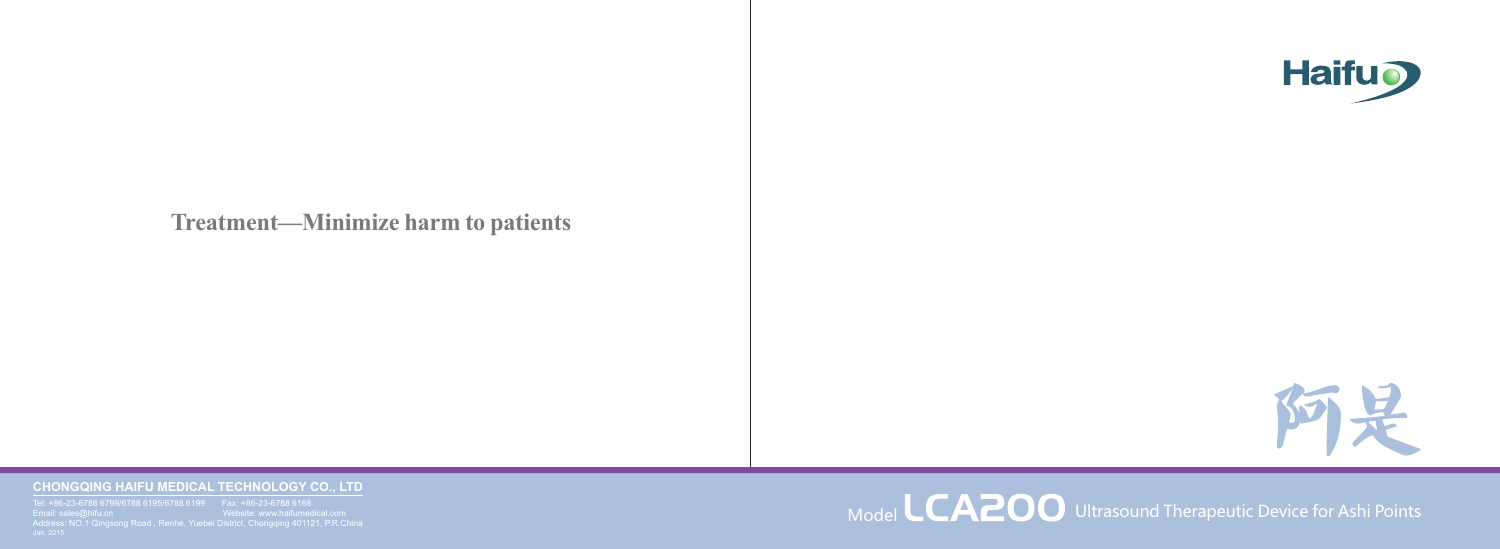### **CHONGQING HAIFU MEDICAL TECHNOLOGY CO., LTD**

Tel: +86-23-6788 6799/6788 6195/6788 6199 Fax: +86-23-6788 6168 Email: sales@hifu.cn Website: www.haifumedical.com Address: NO.1 Qingsong Road , Renhe, Yuebei District, Chongqing 401121, P.R.China





Model **LCA200** Ultrasound Therapeutic Device for Ashi Points

# **Treatment—Minimize harm to patients**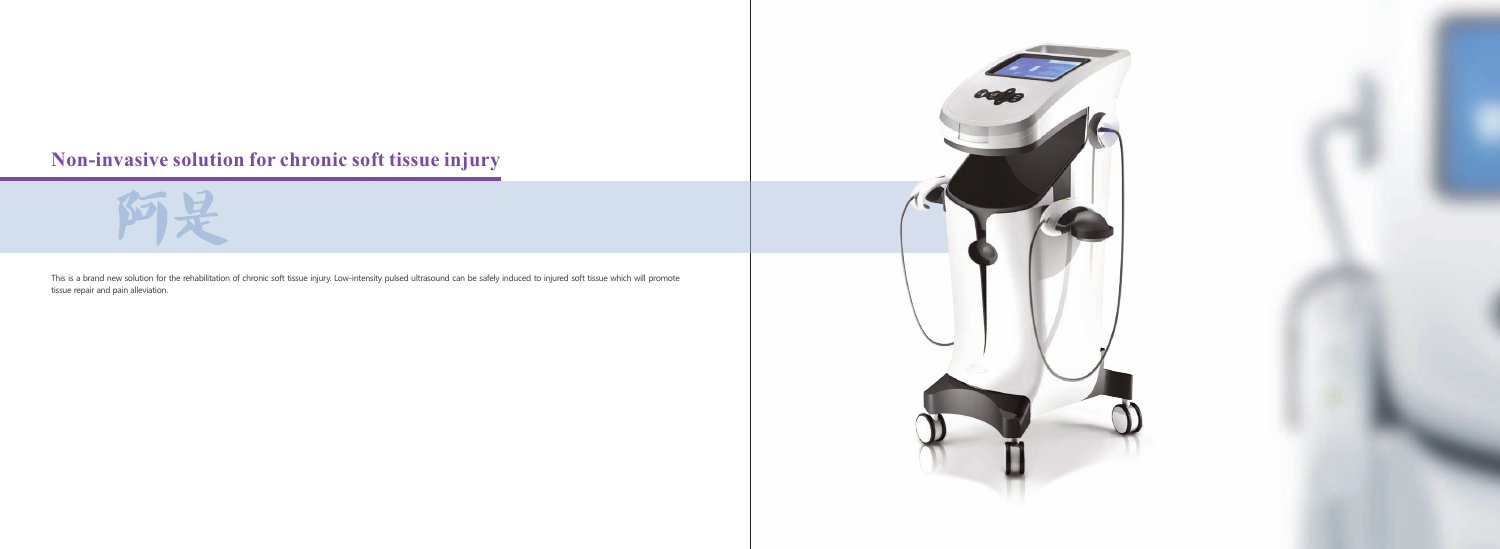# **Non-invasive solution for chronic soft tissue injury**



This is a brand new solution for the rehabilitation of chronic soft tissue injury. Low-intensity pulsed ultrasound can be safely induced to injured soft tissue which will promote tissue repair and pain alleviation.



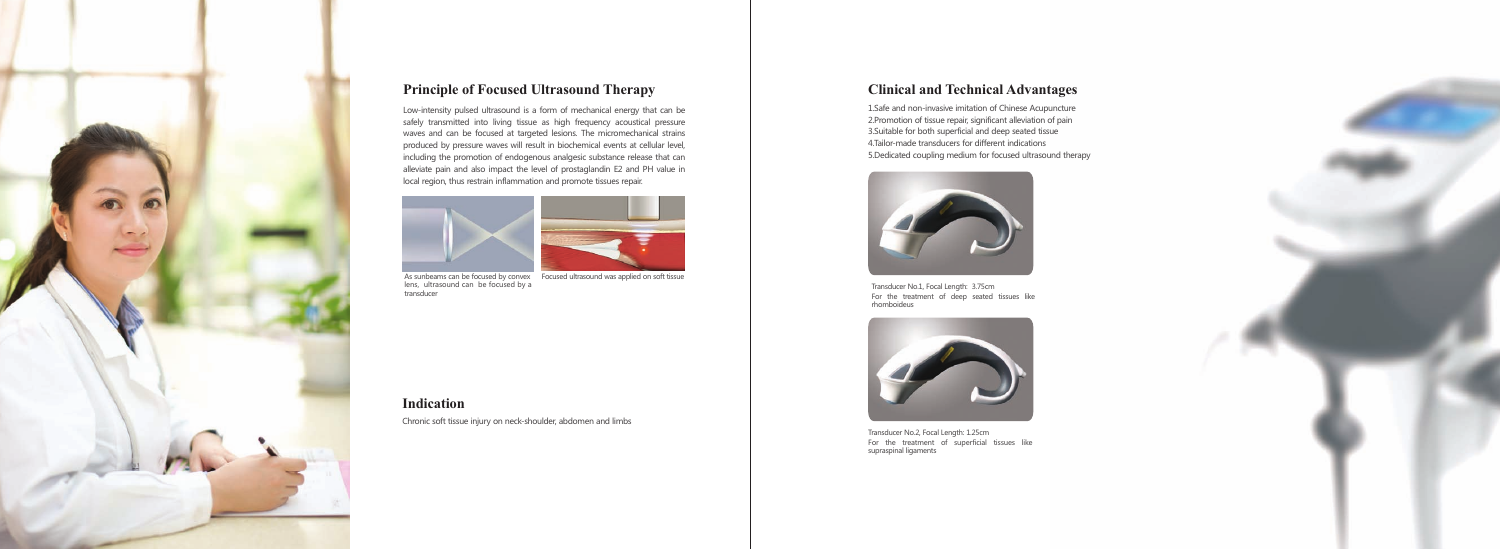

# **Principle of Focused Ultrasound Therapy**

Low-intensity pulsed ultrasound is a form of mechanical energy that can be safely transmitted into living tissue as high frequency acoustical pressure waves and can be focused at targeted lesions. The micromechanical strains produced by pressure waves will result in biochemical events at cellular level, including the promotion of endogenous analgesic substance release that can alleviate pain and also impact the level of prostaglandin E2 and PH value in local region, thus restrain inflammation and promote tissues repair.



As sunbeams can be focused by convex lens, ultrasound can be focused by a Focused ultrasound was applied on soft tissue

transducer

### **Indication**

Chronic soft tissue injury on neck-shoulder, abdomen and limbs

## **Clinical and Technical Advantages**

1.Safe and non-invasive imitation of Chinese Acupuncture 2.Promotion of tissue repair, significant alleviation of pain 3.Suitable for both superficial and deep seated tissue 4.Tailor-made transducers for different indications 5.Dedicated coupling medium for focused ultrasound therapy

Transducer No.1, Focal Length: 3.75cm For the treatment of deep seated tissues like



rhomboideus



Transducer No.2, Focal Length: 1.25cm For the treatment of superficial tissues like



supraspinal ligaments